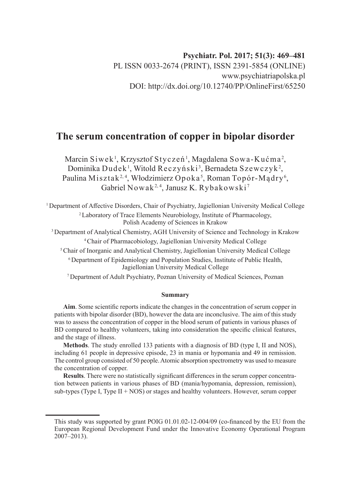# **The serum concentration of copper in bipolar disorder**

Marcin Siwek<sup>1</sup>, Krzysztof Styczeń<sup>1</sup>, Magdalena Sowa-Kućma<sup>2</sup>, Dominika Dudek $^{\rm l}$ , Witold Reczyński $^{\rm 3}$ , Bernadeta Szewczyk $^{\rm 2}$ , Paulina Misztak<sup>2,4</sup>, Włodzimierz Opoka<sup>5</sup>, Roman Topór-Mądry<sup>6</sup>, Gabriel Nowak<sup>2, 4</sup>, Janusz K. Rybakowski<sup>7</sup>

<sup>1</sup>Department of Affective Disorders, Chair of Psychiatry, Jagiellonian University Medical College <sup>2</sup>Laboratory of Trace Elements Neurobiology, Institute of Pharmacology, Polish Academy of Sciences in Krakow

<sup>3</sup>Department of Analytical Chemistry, AGH University of Science and Technology in Krakow <sup>4</sup>Chair of Pharmacobiology, Jagiellonian University Medical College

<sup>5</sup> Chair of Inorganic and Analytical Chemistry, Jagiellonian University Medical College

<sup>6</sup> Department of Epidemiology and Population Studies, Institute of Public Health, Jagiellonian University Medical College

<sup>7</sup>Department of Adult Psychiatry, Poznan University of Medical Sciences, Poznan

#### **Summary**

**Aim**. Some scientific reports indicate the changes in the concentration of serum copper in patients with bipolar disorder (BD), however the data are inconclusive. The aim of this study was to assess the concentration of copper in the blood serum of patients in various phases of BD compared to healthy volunteers, taking into consideration the specific clinical features, and the stage of illness.

**Methods**. The study enrolled 133 patients with a diagnosis of BD (type I, II and NOS), including 61 people in depressive episode, 23 in mania or hypomania and 49 in remission. The control group consisted of 50 people. Atomic absorption spectrometry was used to measure the concentration of copper.

**Results**. There were no statistically significant differences in the serum copper concentration between patients in various phases of BD (mania/hypomania, depression, remission), sub-types (Type I, Type  $II + NOS$ ) or stages and healthy volunteers. However, serum copper

This study was supported by grant POIG 01.01.02-12-004/09 (co-financed by the EU from the European Regional Development Fund under the Innovative Economy Operational Program  $2007 - 2013$ ).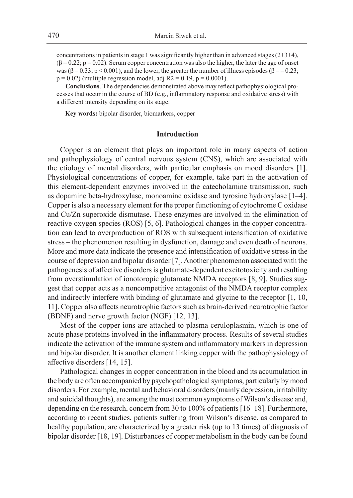concentrations in patients in stage 1 was significantly higher than in advanced stages  $(2+3+4)$ ,  $(\beta = 0.22; p = 0.02)$ . Serum copper concentration was also the higher, the later the age of onset was ( $\beta = 0.33$ ; p < 0.001), and the lower, the greater the number of illness episodes ( $\beta = -0.23$ ;  $p = 0.02$ ) (multiple regression model, adj R2 = 0.19,  $p = 0.0001$ ).

**Conclusions**. The dependencies demonstrated above may reflect pathophysiological processes that occur in the course of BD (e.g., inflammatory response and oxidative stress) with a different intensity depending on its stage.

**Key words:** bipolar disorder, biomarkers, copper

### **Introduction**

Copper is an element that plays an important role in many aspects of action and pathophysiology of central nervous system (CNS), which are associated with the etiology of mental disorders, with particular emphasis on mood disorders [1]. Physiological concentrations of copper, for example, take part in the activation of this element-dependent enzymes involved in the catecholamine transmission, such as dopamine beta-hydroxylase, monoamine oxidase and tyrosine hydroxylase [1–4]. Copper is also a necessary element for the proper functioning of cytochrome C oxidase and Cu/Zn superoxide dismutase. These enzymes are involved in the elimination of reactive oxygen species (ROS) [5, 6]. Pathological changes in the copper concentration can lead to overproduction of ROS with subsequent intensification of oxidative stress – the phenomenon resulting in dysfunction, damage and even death of neurons. More and more data indicate the presence and intensification of oxidative stress in the course of depression and bipolar disorder [7]. Another phenomenon associated with the pathogenesis of affective disorders is glutamate-dependent excitotoxicity and resulting from overstimulation of ionotoropic glutamate NMDA receptors [8, 9]. Studies suggest that copper acts as a noncompetitive antagonist of the NMDA receptor complex and indirectly interfere with binding of glutamate and glycine to the receptor [1, 10, 11]. Copper also affects neurotrophic factors such as brain-derived neurotrophic factor (BDNF) and nerve growth factor (NGF) [12, 13].

Most of the copper ions are attached to plasma ceruloplasmin, which is one of acute phase proteins involved in the inflammatory process. Results of several studies indicate the activation of the immune system and inflammatory markers in depression and bipolar disorder. It is another element linking copper with the pathophysiology of affective disorders [14, 15].

Pathological changes in copper concentration in the blood and its accumulation in the body are often accompanied by psychopathological symptoms, particularly by mood disorders. For example, mental and behavioral disorders (mainly depression, irritability and suicidal thoughts), are among the most common symptoms of Wilson's disease and, depending on the research, concern from 30 to 100% of patients [16–18]. Furthermore, according to recent studies, patients suffering from Wilson's disease, as compared to healthy population, are characterized by a greater risk (up to 13 times) of diagnosis of bipolar disorder [18, 19]. Disturbances of copper metabolism in the body can be found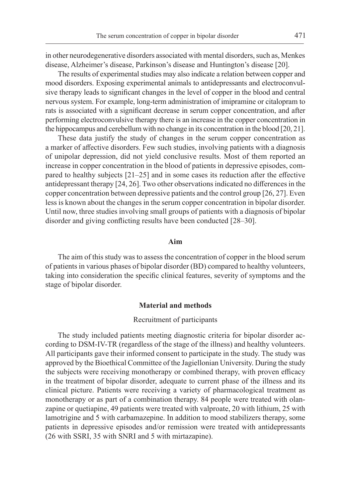in other neurodegenerative disorders associated with mental disorders, such as, Menkes disease, Alzheimer's disease, Parkinson's disease and Huntington's disease [20].

The results of experimental studies may also indicate a relation between copper and mood disorders. Exposing experimental animals to antidepressants and electroconvulsive therapy leads to significant changes in the level of copper in the blood and central nervous system. For example, long-term administration of imipramine or citalopram to rats is associated with a significant decrease in serum copper concentration, and after performing electroconvulsive therapy there is an increase in the copper concentration in the hippocampus and cerebellum with no change in its concentration in the blood [20, 21].

These data justify the study of changes in the serum copper concentration as a marker of affective disorders. Few such studies, involving patients with a diagnosis of unipolar depression, did not yield conclusive results. Most of them reported an increase in copper concentration in the blood of patients in depressive episodes, compared to healthy subjects [21–25] and in some cases its reduction after the effective antidepressant therapy [24, 26]. Two other observations indicated no differences in the copper concentration between depressive patients and the control group [26, 27]. Even less is known about the changes in the serum copper concentration in bipolar disorder. Until now, three studies involving small groups of patients with a diagnosis of bipolar disorder and giving conflicting results have been conducted [28–30].

## **Aim**

The aim of this study was to assess the concentration of copper in the blood serum of patients in various phases of bipolar disorder (BD) compared to healthy volunteers, taking into consideration the specific clinical features, severity of symptoms and the stage of bipolar disorder.

## **Material and methods**

## Recruitment of participants

The study included patients meeting diagnostic criteria for bipolar disorder according to DSM-IV-TR (regardless of the stage of the illness) and healthy volunteers. All participants gave their informed consent to participate in the study. The study was approved by the Bioethical Committee of the Jagiellonian University. During the study the subjects were receiving monotherapy or combined therapy, with proven efficacy in the treatment of bipolar disorder, adequate to current phase of the illness and its clinical picture. Patients were receiving a variety of pharmacological treatment as monotherapy or as part of a combination therapy. 84 people were treated with olanzapine or quetiapine, 49 patients were treated with valproate, 20 with lithium, 25 with lamotrigine and 5 with carbamazepine. In addition to mood stabilizers therapy, some patients in depressive episodes and/or remission were treated with antidepressants (26 with SSRI, 35 with SNRI and 5 with mirtazapine).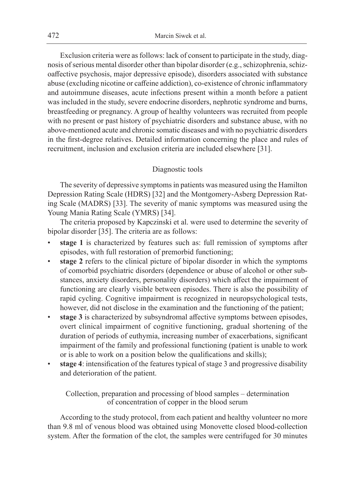Exclusion criteria were as follows: lack of consent to participate in the study, diagnosis of serious mental disorder other than bipolar disorder (e.g., schizophrenia, schizoaffective psychosis, major depressive episode), disorders associated with substance abuse (excluding nicotine or caffeine addiction), co-existence of chronic inflammatory and autoimmune diseases, acute infections present within a month before a patient was included in the study, severe endocrine disorders, nephrotic syndrome and burns, breastfeeding or pregnancy. A group of healthy volunteers was recruited from people with no present or past history of psychiatric disorders and substance abuse, with no above-mentioned acute and chronic somatic diseases and with no psychiatric disorders in the first-degree relatives. Detailed information concerning the place and rules of recruitment, inclusion and exclusion criteria are included elsewhere [31].

## Diagnostic tools

The severity of depressive symptoms in patients was measured using the Hamilton Depression Rating Scale (HDRS) [32] and the Montgomery-Asberg Depression Rating Scale (MADRS) [33]. The severity of manic symptoms was measured using the Young Mania Rating Scale (YMRS) [34].

The criteria proposed by Kapczinski et al. were used to determine the severity of bipolar disorder [35]. The criteria are as follows:

- stage 1 is characterized by features such as: full remission of symptoms after episodes, with full restoration of premorbid functioning;
- stage 2 refers to the clinical picture of bipolar disorder in which the symptoms of comorbid psychiatric disorders (dependence or abuse of alcohol or other substances, anxiety disorders, personality disorders) which affect the impairment of functioning are clearly visible between episodes. There is also the possibility of rapid cycling. Cognitive impairment is recognized in neuropsychological tests, however, did not disclose in the examination and the functioning of the patient;
- **stage 3** is characterized by subsyndromal affective symptoms between episodes, overt clinical impairment of cognitive functioning, gradual shortening of the duration of periods of euthymia, increasing number of exacerbations, significant impairment of the family and professional functioning (patient is unable to work or is able to work on a position below the qualifications and skills);
- **stage 4**: intensification of the features typical of stage 3 and progressive disability and deterioration of the patient.

Collection, preparation and processing of blood samples – determination of concentration of copper in the blood serum

According to the study protocol, from each patient and healthy volunteer no more than 9.8 ml of venous blood was obtained using Monovette closed blood-collection system. After the formation of the clot, the samples were centrifuged for 30 minutes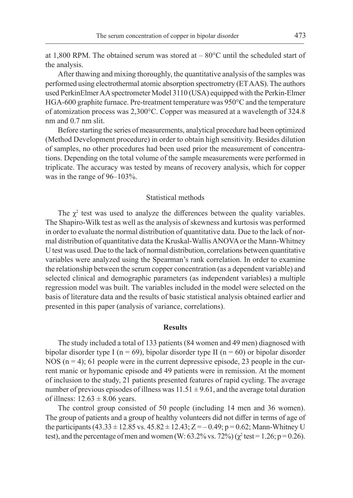at 1,800 RPM. The obtained serum was stored at – 80°C until the scheduled start of the analysis.

After thawing and mixing thoroughly, the quantitative analysis of the samples was performed using electrothermal atomic absorption spectrometry (ET AAS). The authors used PerkinElmer AA spectrometer Model 3110 (USA) equipped with the Perkin-Elmer HGA-600 graphite furnace. Pre-treatment temperature was 950°C and the temperature of atomization process was 2,300°C. Copper was measured at a wavelength of 324.8 nm and 0.7 nm slit.

Before starting the series of measurements, analytical procedure had been optimized (Method Development procedure) in order to obtain high sensitivity. Besides dilution of samples, no other procedures had been used prior the measurement of concentrations. Depending on the total volume of the sample measurements were performed in triplicate. The accuracy was tested by means of recovery analysis, which for copper was in the range of 96–103%.

## Statistical methods

The  $\chi^2$  test was used to analyze the differences between the quality variables. The Shapiro-Wilk test as well as the analysis of skewness and kurtosis was performed in order to evaluate the normal distribution of quantitative data. Due to the lack of normal distribution of quantitative data the Kruskal-Wallis ANOVA or the Mann-Whitney U test was used. Due to the lack of normal distribution, correlations between quantitative variables were analyzed using the Spearman's rank correlation. In order to examine the relationship between the serum copper concentration (as a dependent variable) and selected clinical and demographic parameters (as independent variables) a multiple regression model was built. The variables included in the model were selected on the basis of literature data and the results of basic statistical analysis obtained earlier and presented in this paper (analysis of variance, correlations).

## **Results**

The study included a total of 133 patients (84 women and 49 men) diagnosed with bipolar disorder type I ( $n = 69$ ), bipolar disorder type II ( $n = 60$ ) or bipolar disorder NOS  $(n = 4)$ ; 61 people were in the current depressive episode, 23 people in the current manic or hypomanic episode and 49 patients were in remission. At the moment of inclusion to the study, 21 patients presented features of rapid cycling. The average number of previous episodes of illness was  $11.51 \pm 9.61$ , and the average total duration of illness:  $12.63 \pm 8.06$  years.

The control group consisted of 50 people (including 14 men and 36 women). The group of patients and a group of healthy volunteers did not differ in terms of age of the participants  $(43.33 \pm 12.85 \text{ vs. } 45.82 \pm 12.43; Z = -0.49; p = 0.62; \text{Mann-Whitney U}$ test), and the percentage of men and women (W:  $63.2\%$  vs.  $72\%$ ) ( $\chi^2$  test = 1.26; p = 0.26).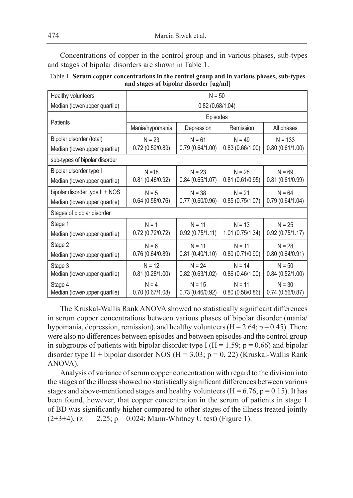Concentrations of copper in the control group and in various phases, sub-types and stages of bipolar disorders are shown in Table 1.

| Table 1. Serum copper concentrations in the control group and in various phases, sub-types |
|--------------------------------------------------------------------------------------------|
| and stages of bipolar disorder [ug/ml]                                                     |

| Healthy volunteers                       | $N = 50$                      |                             |                             |                             |  |  |
|------------------------------------------|-------------------------------|-----------------------------|-----------------------------|-----------------------------|--|--|
| Median (lower/upper quartile)            | 0.82(0.68/1.04)               |                             |                             |                             |  |  |
|                                          | Episodes                      |                             |                             |                             |  |  |
| Patients                                 | Mania/hypomania<br>Depression |                             | Remission                   | All phases                  |  |  |
| Bipolar disorder (total)                 | $N = 23$                      | $N = 61$                    | $N = 49$                    | $N = 133$                   |  |  |
| Median (lower/upper quartile)            | 0.72(0.52/0.89)               | 0.79(0.64/1.00)             | 0.83(0.66/1.00)             | 0.80(0.61/1.00)             |  |  |
| sub-types of bipolar disorder            |                               |                             |                             |                             |  |  |
| Bipolar disorder type I                  | $N = 18$                      | $N = 23$                    | $N = 28$                    | $N = 69$                    |  |  |
| Median (lower/upper quartile)            | 0.81(0.46/0.92)               | 0.84(0.65/1.07)             | 0.81(0.61/0.95)             | 0.81(0.61/0.99)             |  |  |
| bipolar disorder type II + NOS           | $N = 5$                       | $N = 38$                    | $N = 21$                    | $N = 64$                    |  |  |
| Median (lower/upper quartile)            | 0.64(0.58/0.76)               | 0.77(0.60/0.96)             | 0.85(0.75/1.07)             | 0.79(0.64/1.04)             |  |  |
| Stages of bipolar disorder               |                               |                             |                             |                             |  |  |
| Stage 1                                  | $N = 1$                       | $N = 11$                    | $N = 13$                    | $N = 25$                    |  |  |
| Median (lower/upper quartile)            | 0.72(0.72/0.72)               | 0.92(0.75/1.11)             | 1.01 (0.75/1.34)            | 0.92(0.75/1.17)             |  |  |
| Stage 2                                  | $N = 6$                       | $N = 11$                    | $N = 11$                    | $N = 28$                    |  |  |
| Median (lower/upper quartile)            | 0.76(0.64/0.89)               | 0.81(0.40/1.10)             | 0.80(0.71/0.90)             | 0.80(0.64/0.91)             |  |  |
| Stage 3                                  | $N = 12$                      | $N = 24$                    | $N = 14$                    | $N = 50$                    |  |  |
| Median (lower/upper quartile)            | 0.81(0.28/1.00)               | 0.82(0.63/1.02)             | 0.86(0.46/1.00)             | 0.84(0.52/1.00)             |  |  |
| Stage 4<br>Median (lower/upper quartile) | $N = 4$<br>0.70(0.67/1.08)    | $N = 15$<br>0.73(0.46/0.92) | $N = 11$<br>0.80(0.58/0.86) | $N = 30$<br>0.74(0.56/0.87) |  |  |

The Kruskal-Wallis Rank ANOVA showed no statistically significant differences in serum copper concentrations between various phases of bipolar disorder (mania/ hypomania, depression, remission), and healthy volunteers ( $H = 2.64$ ;  $p = 0.45$ ). There were also no differences between episodes and between episodes and the control group in subgroups of patients with bipolar disorder type I ( $H = 1.59$ ;  $p = 0.66$ ) and bipolar disorder type II + bipolar disorder NOS ( $H = 3.03$ ; p = 0, 22) (Kruskal-Wallis Rank ANOVA).

Analysis of variance of serum copper concentration with regard to the division into the stages of the illness showed no statistically significant differences between various stages and above-mentioned stages and healthy volunteers ( $H = 6.76$ ,  $p = 0.15$ ). It has been found, however, that copper concentration in the serum of patients in stage 1 of BD was significantly higher compared to other stages of the illness treated jointly  $(2+3+4)$ ,  $(z = -2.25; p = 0.024;$  Mann-Whitney U test) (Figure 1).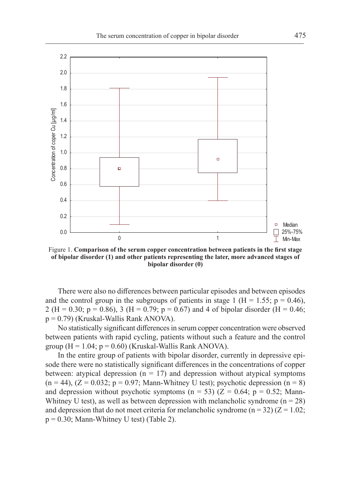

Figure 1. **Comparison of the serum copper concentration between patients in the first stage of bipolar disorder (1) and other patients representing the later, more advanced stages of bipolar disorder (0)**

There were also no differences between particular episodes and between episodes and the control group in the subgroups of patients in stage 1 ( $H = 1.55$ ;  $p = 0.46$ ), 2 (H = 0.30; p = 0.86), 3 (H = 0.79; p = 0.67) and 4 of bipolar disorder (H = 0.46; p = 0.79) (Kruskal-Wallis Rank ANOVA).

No statistically significant differences in serum copper concentration were observed between patients with rapid cycling, patients without such a feature and the control group ( $H = 1.04$ ;  $p = 0.60$ ) (Kruskal-Wallis Rank ANOVA).

In the entire group of patients with bipolar disorder, currently in depressive episode there were no statistically significant differences in the concentrations of copper between: atypical depression ( $n = 17$ ) and depression without atypical symptoms  $(n = 44)$ ,  $(Z = 0.032; p = 0.97;$  Mann-Whitney U test); psychotic depression  $(n = 8)$ and depression without psychotic symptoms (n = 53) ( $Z = 0.64$ ; p = 0.52; Mann-Whitney U test), as well as between depression with melancholic syndrome  $(n = 28)$ and depression that do not meet criteria for melancholic syndrome ( $n = 32$ ) ( $Z = 1.02$ ;  $p = 0.30$ ; Mann-Whitney U test) (Table 2).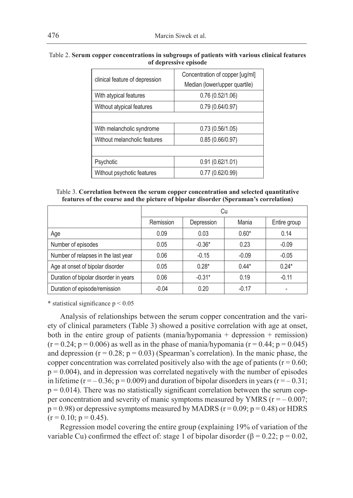| clinical feature of depression | Concentration of copper [ug/ml]<br>Median (lower/upper quartile) |
|--------------------------------|------------------------------------------------------------------|
| With atypical features         | 0.76(0.52/1.06)                                                  |
| Without atypical features      | 0.79(0.64/0.97)                                                  |
|                                |                                                                  |
| With melancholic syndrome      | 0.73(0.56/1.05)                                                  |
| Without melancholic features   | 0.85(0.66/0.97)                                                  |
|                                |                                                                  |
| Psychotic                      | 0.91(0.62/1.01)                                                  |
| Without psychotic features     | 0.77(0.62/0.99)                                                  |

Table 2. **Serum copper concentrations in subgroups of patients with various clinical features of depressive episode**

| Table 3. Correlation between the serum copper concentration and selected quantitative |  |
|---------------------------------------------------------------------------------------|--|
| features of the course and the picture of bipolar disorder (Speraman's correlation)   |  |

|                                       | Cu        |            |                       |         |  |
|---------------------------------------|-----------|------------|-----------------------|---------|--|
|                                       | Remission | Depression | Mania<br>Entire group |         |  |
| Age                                   | 0.09      | 0.03       | $0.60*$               | 0.14    |  |
| Number of episodes                    | 0.05      | $-0.36*$   | 0.23                  | $-0.09$ |  |
| Number of relapses in the last year   | 0.06      | $-0.15$    | $-0.09$               | $-0.05$ |  |
| Age at onset of bipolar disorder      | 0.05      | $0.28*$    | $0.44*$               | $0.24*$ |  |
| Duration of bipolar disorder in years | 0.06      | $-0.31*$   | 0.19                  | $-0.11$ |  |
| Duration of episode/remission         | $-0.04$   | 0.20       | $-0.17$               |         |  |

\* statistical significance  $p < 0.05$ 

Analysis of relationships between the serum copper concentration and the variety of clinical parameters (Table 3) showed a positive correlation with age at onset, both in the entire group of patients (mania/hypomania + depression + remission)  $(r = 0.24; p = 0.006)$  as well as in the phase of mania/hypomania  $(r = 0.44; p = 0.045)$ and depression  $(r = 0.28; p = 0.03)$  (Spearman's correlation). In the manic phase, the copper concentration was correlated positively also with the age of patients ( $r = 0.60$ ;  $p = 0.004$ ), and in depression was correlated negatively with the number of episodes in lifetime ( $r = -0.36$ ;  $p = 0.009$ ) and duration of bipolar disorders in years ( $r = -0.31$ ;  $p = 0.014$ ). There was no statistically significant correlation between the serum copper concentration and severity of manic symptoms measured by YMRS ( $r = -0.007$ ;  $p = 0.98$ ) or depressive symptoms measured by MADRS ( $r = 0.09$ ;  $p = 0.48$ ) or HDRS  $(r = 0.10; p = 0.45)$ .

Regression model covering the entire group (explaining 19% of variation of the variable Cu) confirmed the effect of: stage 1 of bipolar disorder ( $\beta = 0.22$ ; p = 0.02,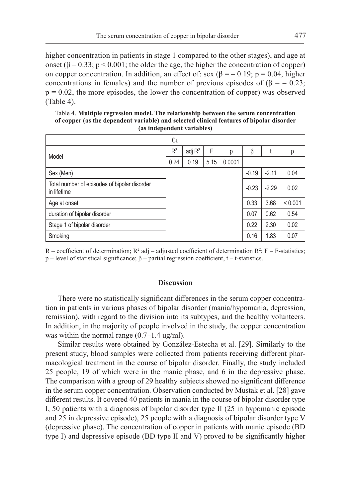higher concentration in patients in stage 1 compared to the other stages), and age at onset ( $\beta$  = 0.33; p < 0.001; the older the age, the higher the concentration of copper) on copper concentration. In addition, an effect of: sex ( $\beta = -0.19$ ; p = 0.04, higher concentrations in females) and the number of previous episodes of ( $\beta = -0.23$ ;  $p = 0.02$ , the more episodes, the lower the concentration of copper) was observed (Table 4).

Table 4. **Multiple regression model. The relationship between the serum concentration of copper (as the dependent variable) and selected clinical features of bipolar disorder (as independent variables)**

|                                                             | Cu             |           |      |        |         |         |         |
|-------------------------------------------------------------|----------------|-----------|------|--------|---------|---------|---------|
| Model                                                       | R <sup>2</sup> | adj $R^2$ | F    | р      | β       |         | р       |
|                                                             | 0.24           | 0.19      | 5.15 | 0.0001 |         |         |         |
| Sex (Men)                                                   |                |           |      |        | $-0.19$ | $-2.11$ | 0.04    |
| Total number of episodes of bipolar disorder<br>in lifetime |                |           |      |        | $-0.23$ | $-2.29$ | 0.02    |
| Age at onset                                                |                |           |      |        | 0.33    | 3.68    | < 0.001 |
| duration of bipolar disorder                                |                |           |      |        | 0.07    | 0.62    | 0.54    |
| Stage 1 of bipolar disorder                                 |                |           |      |        | 0.22    | 2.30    | 0.02    |
| Smoking                                                     |                |           |      |        | 0.16    | 1.83    | 0.07    |

R – coefficient of determination;  $R^2$  adj – adjusted coefficient of determination  $R^2$ ; F – F-statistics;  $p$  – level of statistical significance;  $β$  – partial regression coefficient, t – t-statistics.

## **Discussion**

There were no statistically significant differences in the serum copper concentration in patients in various phases of bipolar disorder (mania/hypomania, depression, remission), with regard to the division into its subtypes, and the healthy volunteers. In addition, in the majority of people involved in the study, the copper concentration was within the normal range (0.7–1.4 ug/ml).

Similar results were obtained by González-Estecha et al. [29]. Similarly to the present study, blood samples were collected from patients receiving different pharmacological treatment in the course of bipolar disorder. Finally, the study included 25 people, 19 of which were in the manic phase, and 6 in the depressive phase. The comparison with a group of 29 healthy subjects showed no significant difference in the serum copper concentration. Observation conducted by Mustak et al. [28] gave different results. It covered 40 patients in mania in the course of bipolar disorder type I, 50 patients with a diagnosis of bipolar disorder type II (25 in hypomanic episode and 25 in depressive episode), 25 people with a diagnosis of bipolar disorder type V (depressive phase). The concentration of copper in patients with manic episode (BD type I) and depressive episode (BD type II and V) proved to be significantly higher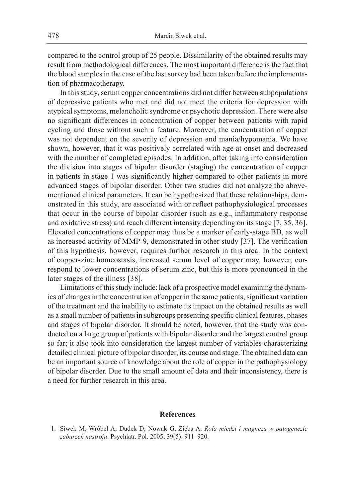compared to the control group of 25 people. Dissimilarity of the obtained results may result from methodological differences. The most important difference is the fact that the blood samples in the case of the last survey had been taken before the implementation of pharmacotherapy.

In this study, serum copper concentrations did not differ between subpopulations of depressive patients who met and did not meet the criteria for depression with atypical symptoms, melancholic syndrome or psychotic depression. There were also no significant differences in concentration of copper between patients with rapid cycling and those without such a feature. Moreover, the concentration of copper was not dependent on the severity of depression and mania/hypomania. We have shown, however, that it was positively correlated with age at onset and decreased with the number of completed episodes. In addition, after taking into consideration the division into stages of bipolar disorder (staging) the concentration of copper in patients in stage 1 was significantly higher compared to other patients in more advanced stages of bipolar disorder. Other two studies did not analyze the abovementioned clinical parameters. It can be hypothesized that these relationships, demonstrated in this study, are associated with or reflect pathophysiological processes that occur in the course of bipolar disorder (such as e.g., inflammatory response and oxidative stress) and reach different intensity depending on its stage [7, 35, 36]. Elevated concentrations of copper may thus be a marker of early-stage BD, as well as increased activity of MMP-9, demonstrated in other study [37]. The verification of this hypothesis, however, requires further research in this area. In the context of copper-zinc homeostasis, increased serum level of copper may, however, correspond to lower concentrations of serum zinc, but this is more pronounced in the later stages of the illness [38].

Limitations of this study include: lack of a prospective model examining the dynamics of changes in the concentration of copper in the same patients, significant variation of the treatment and the inability to estimate its impact on the obtained results as well as a small number of patients in subgroups presenting specific clinical features, phases and stages of bipolar disorder. It should be noted, however, that the study was conducted on a large group of patients with bipolar disorder and the largest control group so far; it also took into consideration the largest number of variables characterizing detailed clinical picture of bipolar disorder, its course and stage. The obtained data can be an important source of knowledge about the role of copper in the pathophysiology of bipolar disorder. Due to the small amount of data and their inconsistency, there is a need for further research in this area.

## **References**

1. Siwek M, Wróbel A, Dudek D, Nowak G, Zięba A. *Rola miedzi i magnezu w patogenezie zaburzeń nastroju*. Psychiatr. Pol. 2005; 39(5): 911–920.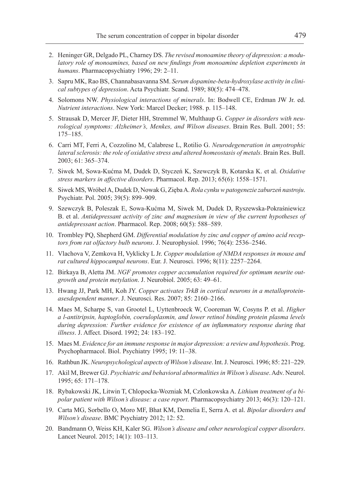- 2. Heninger GR, Delgado PL, Charney DS. *The revised monoamine theory of depression: a modulatory role of monoamines, based on new findings from monoamine depletion experiments in humans*. Pharmacopsychiatry 1996; 29: 2–11.
- 3. Sapru MK, Rao BS, Channabasavanna SM. *Serum dopamine-beta-hydroxylase activity in clinical subtypes of depression*. Acta Psychiatr. Scand. 1989; 80(5): 474–478.
- 4. Solomons NW. *Physiological interactions of minerals*. In: Bodwell CE, Erdman JW Jr. ed. *Nutrient interactions*. New York: Marcel Decker; 1988. p. 115–148.
- 5. Strausak D, Mercer JF, Dieter HH, Stremmel W, Multhaup G. *Copper in disorders with neurological symptoms: Alzheimer's, Menkes, and Wilson diseases*. Brain Res. Bull. 2001; 55: 175–185.
- 6. Carri MT, Ferri A, Cozzolino M, Calabrese L, Rotilio G. *Neurodegeneration in amyotrophic lateral sclerosis: the role of oxidative stress and altered homeostasis of metals*. Brain Res. Bull. 2003; 61: 365–374.
- 7. Siwek M, Sowa-Kućma M, Dudek D, Styczeń K, Szewczyk B, Kotarska K. et al. *Oxidative stress markers in affective disorders*. Pharmacol. Rep. 2013; 65(6): 1558–1571.
- 8. Siwek MS, Wróbel A, Dudek D, Nowak G, Zięba A. *Rola cynku w patogenezie zaburzeń nastroju*. Psychiatr. Pol. 2005; 39(5): 899–909.
- 9. Szewczyk B, Poleszak E, Sowa-Kućma M, Siwek M, Dudek D, Ryszewska-Pokraśniewicz B. et al. *Antidepressant activity of zinc and magnesium in view of the current hypotheses of antidepressant action*. Pharmacol. Rep. 2008; 60(5): 588–589.
- 10. Trombley PQ, Shepherd GM. *Differential modulation by zinc and copper of amino acid receptors from rat olfactory bulb neurons*. J. Neurophysiol. 1996; 76(4): 2536–2546.
- 11. Vlachova V, Zemkova H, Vyklicky L Jr. *Copper modulation of NMDA responses in mouse and rat cultured hippocampal neurons*. Eur. J. Neurosci. 1996; 8(11): 2257–2264.
- 12. Birkaya B, Aletta JM. *NGF promotes copper accumulation required for optimum neurite outgrowth and protein metylation*. J. Neurobiol. 2005; 63: 49–61.
- 13. Hwang JJ, Park MH, Koh JY. *Copper activates TrkB in cortical neurons in a metalloproteinasesdependent manner*. J. Neurosci. Res. 2007; 85: 2160–2166.
- 14. Maes M, Scharpe S, van Grootel L, Uyttenbroeck W, Cooreman W, Cosyns P. et al. *Higher a l-antitripsin, haptoglobin, coeruloplasmin, and lower retinol binding protein plasma levels during depression: Further evidence for existence of an inflammatory response during that illness*. J. Affect. Disord. 1992; 24: 183–192.
- 15. Maes M. *Evidence for an immune response in major depression: a review and hypothesis*. Prog. Psychopharmacol. Biol. Psychiatry 1995; 19: 11–38.
- 16. Rathbun JK. *Neuropsychological aspects of Wilson's disease*. Int. J. Neurosci. 1996; 85: 221–229.
- 17. Akil M, Brewer GJ. *Psychiatric and behavioral abnormalities in Wilson's disease*. Adv. Neurol. 1995; 65: 171–178.
- 18. Rybakowski JK, Litwin T, Chlopocka-Wozniak M, Czlonkowska A. *Lithium treatment of a bipolar patient with Wilson's disease: a case report*. Pharmacopsychiatry 2013; 46(3): 120–121.
- 19. Carta MG, Sorbello O, Moro MF, Bhat KM, Demelia E, Serra A. et al. *Bipolar disorders and Wilson's disease*. BMC Psychiatry 2012; 12: 52.
- 20. Bandmann O, Weiss KH, Kaler SG. *Wilson's disease and other neurological copper disorders*. Lancet Neurol. 2015; 14(1): 103–113.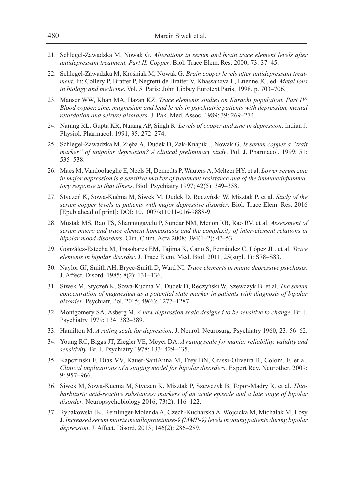- 21. Schlegel-Zawadzka M, Nowak G. *Alterations in serum and brain trace element levels after antidepressant treatment. Part II. Copper*. Biol. Trace Elem. Res. 2000; 73: 37–45.
- 22. Schlegel-Zawadzka M, Krośniak M, Nowak G. *Brain copper levels after antidepressant treatment*. In: Collery P, Bratter P, Negretti de Bratter V, Khassanova L, Etienne JC. ed. *Metal ions in biology and medicine*. Vol. 5. Paris: John Libbey Eurotext Paris; 1998. p. 703–706.
- 23. Manser WW, Khan MA, Hazan KZ. *Trace elements studies on Karachi population. Part IV: Blood copper, zinc, magnesium and lead levels in psychiatric patients with depression, mental retardation and seizure disorders*. J. Pak. Med. Assoc. 1989; 39: 269–274.
- 24. Narang RL, Gupta KR, Narang AP, Singh R. *Levels of cooper and zinc in depression*. Indian J. Physiol. Pharmacol. 1991; 35: 272–274.
- 25. Schlegel-Zawadzka M, Zięba A, Dudek D, Zak-Knapik J, Nowak G. *Is serum copper a "trait marker" of unipolar depression? A clinical preliminary study*. Pol. J. Pharmacol. 1999; 51: 535–538.
- 26. Maes M, Vandoolaeghe E, Neels H, Demedts P, Wauters A, Meltzer HY. et al. *Lower serum zinc in major depression is a sensitive marker of treatment resistance and of the immune/inflammatory response in that illness*. Biol. Psychiatry 1997; 42(5): 349–358.
- 27. Styczeń K, Sowa-Kućma M, Siwek M, Dudek D, Reczyński W, Misztak P. et al. *Study of the serum copper levels in patients with major depressive disorder*. Biol. Trace Elem. Res. 2016 [Epub ahead of print]; DOI: 10.1007/s11011-016-9888-9.
- 28. Mustak MS, Rao TS, Shanmugavelu P, Sundar NM, Menon RB, Rao RV. et al. *Assessment of serum macro and trace element homeostasis and the complexity of inter-element relations in bipolar mood disorders*. Clin. Chim. Acta 2008; 394(1–2): 47–53.
- 29. González-Estecha M, Trasobares EM, Tajima K, Cano S, Fernández C, López JL. et al. *Trace elements in bipolar disorder*. J. Trace Elem. Med. Biol. 2011; 25(supl. 1): S78–S83.
- 30. Naylor GJ, Smith AH, Bryce-Smith D, Ward NI. *Trace elements in manic depressive psychosis*. J. Affect. Disord. 1985; 8(2): 131–136.
- 31. Siwek M, Styczeń K, Sowa-Kućma M, Dudek D, Reczyński W, Szewczyk B. et al. *The serum concentration of magnesium as a potential state marker in patients with diagnosis of bipolar disorder*. Psychiatr. Pol. 2015; 49(6): 1277–1287.
- 32. Montgomery SA, Asberg M. *A new depression scale designed to be sensitive to change*. Br. J. Psychiatry 1979; 134: 382–389.
- 33. Hamilton M. *A rating scale for depression*. J. Neurol. Neurosurg. Psychiatry 1960; 23: 56–62.
- 34. Young RC, Biggs JT, Ziegler VE, Meyer DA. *A rating scale for mania: reliability, validity and sensitivity*. Br. J. Psychiatry 1978; 133: 429–435.
- 35. Kapczinski F, Dias VV, Kauer-SantAnna M, Frey BN, Grassi-Oliveira R, Colom, F. et al. *Clinical implications of a staging model for bipolar disorders*. Expert Rev. Neurother. 2009; 9: 957–966.
- 36. Siwek M, Sowa-Kucma M, Styczen K, Misztak P, Szewczyk B, Topor-Madry R. et al. *Thiobarbituric acid-reactive substances: markers of an acute episode and a late stage of bipolar disorder*. Neuropsychobiology 2016; 73(2): 116–122.
- 37. Rybakowski JK, Remlinger-Molenda A, Czech-Kucharska A, Wojcicka M, Michalak M, Losy J. *Increased serum matrix metalloproteinase-9 (MMP-9) levels in young patients during bipolar depression*. J. Affect. Disord. 2013; 146(2): 286–289.